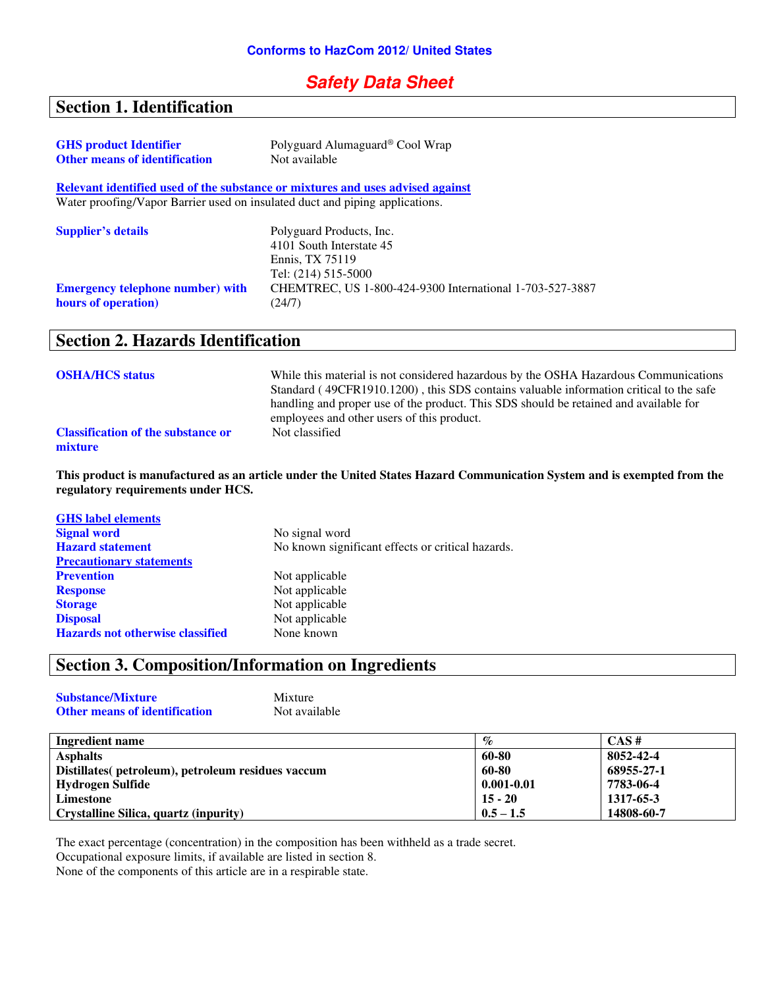#### **Safety Data Sheet**

## **Section 1. Identification**

| <b>GHS</b> product Identifier                                                | Polyguard Alumaguard® Cool Wrap                                                |
|------------------------------------------------------------------------------|--------------------------------------------------------------------------------|
| <b>Other means of identification</b>                                         | Not available                                                                  |
|                                                                              | Relevant identified used of the substance or mixtures and uses advised against |
| Water proofing/Vapor Barrier used on insulated duct and piping applications. |                                                                                |
| <b>Supplier's details</b>                                                    | Polyguard Products, Inc.                                                       |
|                                                                              | 4101 South Interstate 45                                                       |
|                                                                              | Ennis, TX 75119                                                                |
|                                                                              | Tel: (214) 515-5000                                                            |
| <b>Emergency telephone number) with</b>                                      | CHEMTREC, US 1-800-424-9300 International 1-703-527-3887                       |
| hours of operation)                                                          | (24/7)                                                                         |

#### **Section 2. Hazards Identification**

| <b>OSHA/HCS status</b>                               | While this material is not considered hazardous by the OSHA Hazardous Communications<br>Standard (49CFR1910.1200), this SDS contains valuable information critical to the safe<br>handling and proper use of the product. This SDS should be retained and available for<br>employees and other users of this product. |
|------------------------------------------------------|-----------------------------------------------------------------------------------------------------------------------------------------------------------------------------------------------------------------------------------------------------------------------------------------------------------------------|
| <b>Classification of the substance or</b><br>mixture | Not classified                                                                                                                                                                                                                                                                                                        |

**This product is manufactured as an article under the United States Hazard Communication System and is exempted from the regulatory requirements under HCS.** 

| No signal word                                    |
|---------------------------------------------------|
| No known significant effects or critical hazards. |
|                                                   |
| Not applicable                                    |
| Not applicable                                    |
| Not applicable                                    |
| Not applicable                                    |
| None known                                        |
|                                                   |

## **Section 3. Composition/Information on Ingredients**

| <b>Substance/Mixture</b>             | Mixture       |
|--------------------------------------|---------------|
| <b>Other means of identification</b> | Not available |

| Ingredient name                                    | $\%$           | CAS#       |
|----------------------------------------------------|----------------|------------|
| <b>Asphalts</b>                                    | 60-80          | 8052-42-4  |
| Distillates (petroleum), petroleum residues vaccum | 60-80          | 68955-27-1 |
| Hydrogen Sulfide                                   | $0.001 - 0.01$ | 7783-06-4  |
| Limestone                                          | $15 - 20$      | 1317-65-3  |
| Crystalline Silica, quartz (inpurity)              | $0.5 - 1.5$    | 14808-60-7 |

The exact percentage (concentration) in the composition has been withheld as a trade secret. Occupational exposure limits, if available are listed in section 8.

None of the components of this article are in a respirable state.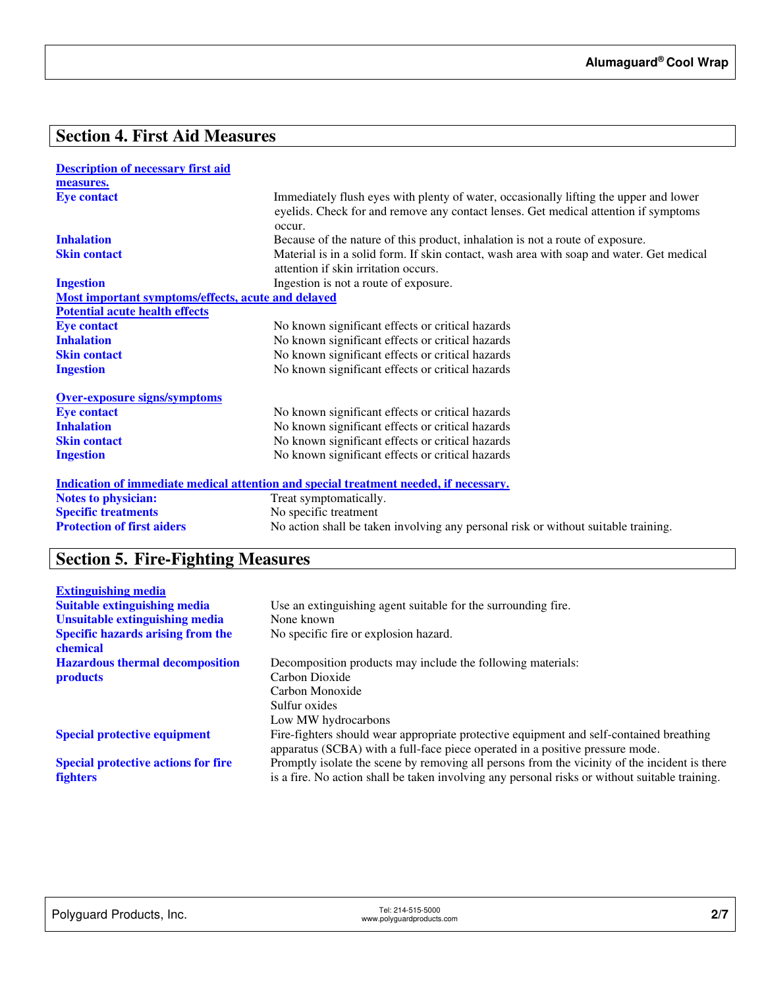## **Section 4. First Aid Measures**

| <b>Description of necessary first aid</b>          |                                                                                                                                                                                        |
|----------------------------------------------------|----------------------------------------------------------------------------------------------------------------------------------------------------------------------------------------|
| measures.                                          |                                                                                                                                                                                        |
| <b>Eye contact</b>                                 | Immediately flush eyes with plenty of water, occasionally lifting the upper and lower<br>eyelids. Check for and remove any contact lenses. Get medical attention if symptoms<br>occur. |
| <b>Inhalation</b>                                  | Because of the nature of this product, inhalation is not a route of exposure.                                                                                                          |
| <b>Skin contact</b>                                | Material is in a solid form. If skin contact, wash area with soap and water. Get medical<br>attention if skin irritation occurs.                                                       |
| <b>Ingestion</b>                                   | Ingestion is not a route of exposure.                                                                                                                                                  |
| Most important symptoms/effects, acute and delayed |                                                                                                                                                                                        |
| <b>Potential acute health effects</b>              |                                                                                                                                                                                        |
| <b>Eye contact</b>                                 | No known significant effects or critical hazards                                                                                                                                       |
| <b>Inhalation</b>                                  | No known significant effects or critical hazards                                                                                                                                       |
| <b>Skin contact</b>                                | No known significant effects or critical hazards                                                                                                                                       |
| <b>Ingestion</b>                                   | No known significant effects or critical hazards                                                                                                                                       |
| <b>Over-exposure signs/symptoms</b>                |                                                                                                                                                                                        |
| <b>Eye contact</b>                                 | No known significant effects or critical hazards                                                                                                                                       |
| <b>Inhalation</b>                                  | No known significant effects or critical hazards                                                                                                                                       |
| <b>Skin contact</b>                                | No known significant effects or critical hazards                                                                                                                                       |
| <b>Ingestion</b>                                   | No known significant effects or critical hazards                                                                                                                                       |
|                                                    | <u>Indication of immediate medical attention and special treatment needed, if necessary.</u>                                                                                           |
| <b>Notes to physician:</b>                         | Treat symptomatically.                                                                                                                                                                 |
| <b>Specific treatments</b>                         | No specific treatment                                                                                                                                                                  |
| <b>Protection of first aiders</b>                  | No action shall be taken involving any personal risk or without suitable training.                                                                                                     |

# **Section 5. Fire-Fighting Measures**

| <b>Extinguishing media</b>                 |                                                                                                |
|--------------------------------------------|------------------------------------------------------------------------------------------------|
| <b>Suitable extinguishing media</b>        | Use an extinguishing agent suitable for the surrounding fire.                                  |
| Unsuitable extinguishing media             | None known                                                                                     |
| <b>Specific hazards arising from the</b>   | No specific fire or explosion hazard.                                                          |
| chemical                                   |                                                                                                |
| <b>Hazardous thermal decomposition</b>     | Decomposition products may include the following materials:                                    |
| <b>products</b>                            | Carbon Dioxide                                                                                 |
|                                            | Carbon Monoxide                                                                                |
|                                            | Sulfur oxides                                                                                  |
|                                            | Low MW hydrocarbons                                                                            |
| <b>Special protective equipment</b>        | Fire-fighters should wear appropriate protective equipment and self-contained breathing        |
|                                            | apparatus (SCBA) with a full-face piece operated in a positive pressure mode.                  |
| <b>Special protective actions for fire</b> | Promptly isolate the scene by removing all persons from the vicinity of the incident is there  |
| <b>fighters</b>                            | is a fire. No action shall be taken involving any personal risks or without suitable training. |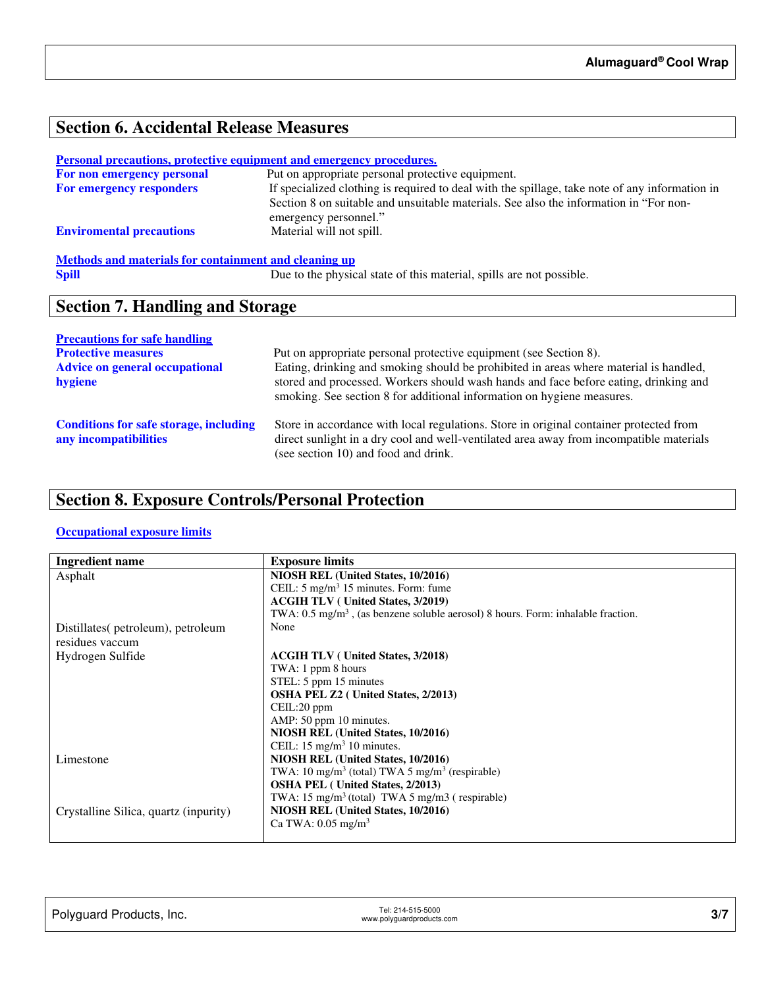# **Section 6. Accidental Release Measures**

| Personal precautions, protective equipment and emergency procedures. |                                                                                                                |
|----------------------------------------------------------------------|----------------------------------------------------------------------------------------------------------------|
| For non emergency personal                                           | Put on appropriate personal protective equipment.                                                              |
| For emergency responders                                             | If specialized clothing is required to deal with the spillage, take note of any information in                 |
|                                                                      | Section 8 on suitable and unsuitable materials. See also the information in "For non-<br>emergency personnel." |
| <b>Enviromental precautions</b>                                      | Material will not spill.                                                                                       |
| Methods and materials for containment and cleaning up                |                                                                                                                |
| <b>Spill</b>                                                         | Due to the physical state of this material, spills are not possible.                                           |

## **Section 7. Handling and Storage**

| <b>Precautions for safe handling</b>                                   |                                                                                                                                                                                                                           |
|------------------------------------------------------------------------|---------------------------------------------------------------------------------------------------------------------------------------------------------------------------------------------------------------------------|
| <b>Protective measures</b>                                             | Put on appropriate personal protective equipment (see Section 8).                                                                                                                                                         |
| <b>Advice on general occupational</b>                                  | Eating, drinking and smoking should be prohibited in areas where material is handled,                                                                                                                                     |
| hygiene                                                                | stored and processed. Workers should wash hands and face before eating, drinking and<br>smoking. See section 8 for additional information on hygiene measures.                                                            |
| <b>Conditions for safe storage, including</b><br>any incompatibilities | Store in accordance with local regulations. Store in original container protected from<br>direct sunlight in a dry cool and well-ventilated area away from incompatible materials<br>(see section 10) and food and drink. |

# **Section 8. Exposure Controls/Personal Protection**

#### **Occupational exposure limits**

| <b>Ingredient name</b>                | <b>Exposure limits</b>                                                                      |
|---------------------------------------|---------------------------------------------------------------------------------------------|
| Asphalt                               | NIOSH REL (United States, 10/2016)                                                          |
|                                       | CEIL: $5 \text{ mg/m}^3$ 15 minutes. Form: fume                                             |
|                                       | <b>ACGIH TLV</b> ( United States, 3/2019)                                                   |
|                                       | TWA: $0.5 \text{ mg/m}^3$ , (as benzene soluble aerosol) 8 hours. Form: inhalable fraction. |
| Distillates (petroleum), petroleum    | None                                                                                        |
| residues vaccum                       |                                                                                             |
| Hydrogen Sulfide                      | <b>ACGIH TLV</b> ( United States, 3/2018)                                                   |
|                                       | TWA: 1 ppm 8 hours                                                                          |
|                                       | STEL: 5 ppm 15 minutes                                                                      |
|                                       | <b>OSHA PEL Z2</b> ( United States, 2/2013)                                                 |
|                                       | CEIL:20 ppm                                                                                 |
|                                       | AMP: 50 ppm 10 minutes.                                                                     |
|                                       | NIOSH REL (United States, 10/2016)                                                          |
|                                       | CEIL: $15 \text{ mg/m}^3$ 10 minutes.                                                       |
| Limestone                             | NIOSH REL (United States, 10/2016)                                                          |
|                                       | TWA: 10 mg/m <sup>3</sup> (total) TWA 5 mg/m <sup>3</sup> (respirable)                      |
|                                       | <b>OSHA PEL</b> (United States, 2/2013)                                                     |
|                                       | TWA: $15 \text{ mg/m}^3$ (total) TWA 5 mg/m3 (respirable)                                   |
| Crystalline Silica, quartz (inpurity) | NIOSH REL (United States, 10/2016)                                                          |
|                                       | Ca TWA: $0.05$ mg/m <sup>3</sup>                                                            |
|                                       |                                                                                             |

| Polyguard Products, Inc. | Tel: 214-515-5000<br>www.polyguardproducts.com |  |
|--------------------------|------------------------------------------------|--|
|                          |                                                |  |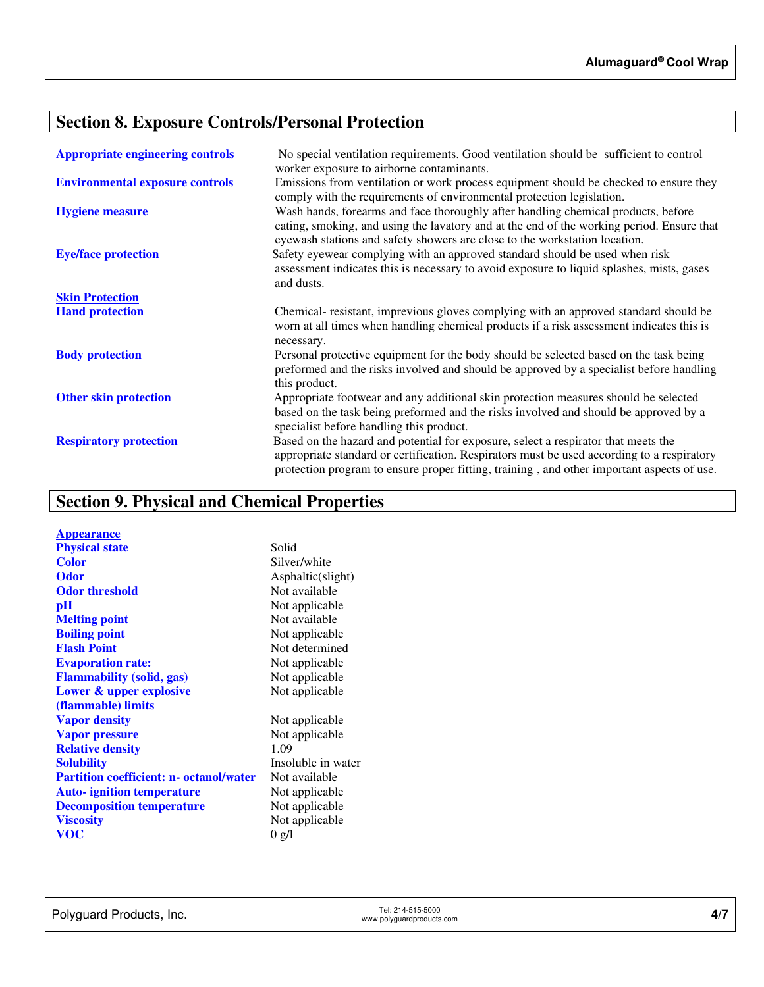# **Section 8. Exposure Controls/Personal Protection**

| <b>Appropriate engineering controls</b> | No special ventilation requirements. Good ventilation should be sufficient to control<br>worker exposure to airborne contaminants.                                                                                                                                             |
|-----------------------------------------|--------------------------------------------------------------------------------------------------------------------------------------------------------------------------------------------------------------------------------------------------------------------------------|
| <b>Environmental exposure controls</b>  | Emissions from ventilation or work process equipment should be checked to ensure they<br>comply with the requirements of environmental protection legislation.                                                                                                                 |
| <b>Hygiene measure</b>                  | Wash hands, forearms and face thoroughly after handling chemical products, before<br>eating, smoking, and using the lavatory and at the end of the working period. Ensure that<br>eyewash stations and safety showers are close to the workstation location.                   |
| <b>Eye/face protection</b>              | Safety eyewear complying with an approved standard should be used when risk<br>assessment indicates this is necessary to avoid exposure to liquid splashes, mists, gases<br>and dusts.                                                                                         |
| <b>Skin Protection</b>                  |                                                                                                                                                                                                                                                                                |
| <b>Hand protection</b>                  | Chemical- resistant, imprevious gloves complying with an approved standard should be<br>worn at all times when handling chemical products if a risk assessment indicates this is                                                                                               |
| <b>Body protection</b>                  | necessary.<br>Personal protective equipment for the body should be selected based on the task being<br>preformed and the risks involved and should be approved by a specialist before handling<br>this product.                                                                |
| <b>Other skin protection</b>            | Appropriate footwear and any additional skin protection measures should be selected<br>based on the task being preformed and the risks involved and should be approved by a<br>specialist before handling this product.                                                        |
| <b>Respiratory protection</b>           | Based on the hazard and potential for exposure, select a respirator that meets the<br>appropriate standard or certification. Respirators must be used according to a respiratory<br>protection program to ensure proper fitting, training, and other important aspects of use. |

# **Section 9. Physical and Chemical Properties**

| <b>Appearance</b>                              |                    |
|------------------------------------------------|--------------------|
| <b>Physical state</b>                          | Solid              |
| <b>Color</b>                                   | Silver/white       |
| <b>Odor</b>                                    | Asphaltic(slight)  |
| <b>Odor threshold</b>                          | Not available      |
| pH                                             | Not applicable     |
| <b>Melting point</b>                           | Not available      |
| <b>Boiling point</b>                           | Not applicable     |
| <b>Flash Point</b>                             | Not determined     |
| <b>Evaporation rate:</b>                       | Not applicable     |
| <b>Flammability (solid, gas)</b>               | Not applicable     |
| Lower & upper explosive                        | Not applicable     |
| (flammable) limits                             |                    |
| <b>Vapor density</b>                           | Not applicable     |
| <b>Vapor pressure</b>                          | Not applicable     |
| <b>Relative density</b>                        | 1.09               |
| <b>Solubility</b>                              | Insoluble in water |
| <b>Partition coefficient: n- octanol/water</b> | Not available      |
| <b>Auto-</b> ignition temperature              | Not applicable     |
| <b>Decomposition temperature</b>               | Not applicable     |
| <b>Viscosity</b>                               | Not applicable     |
| voc                                            | 0 g/l              |
|                                                |                    |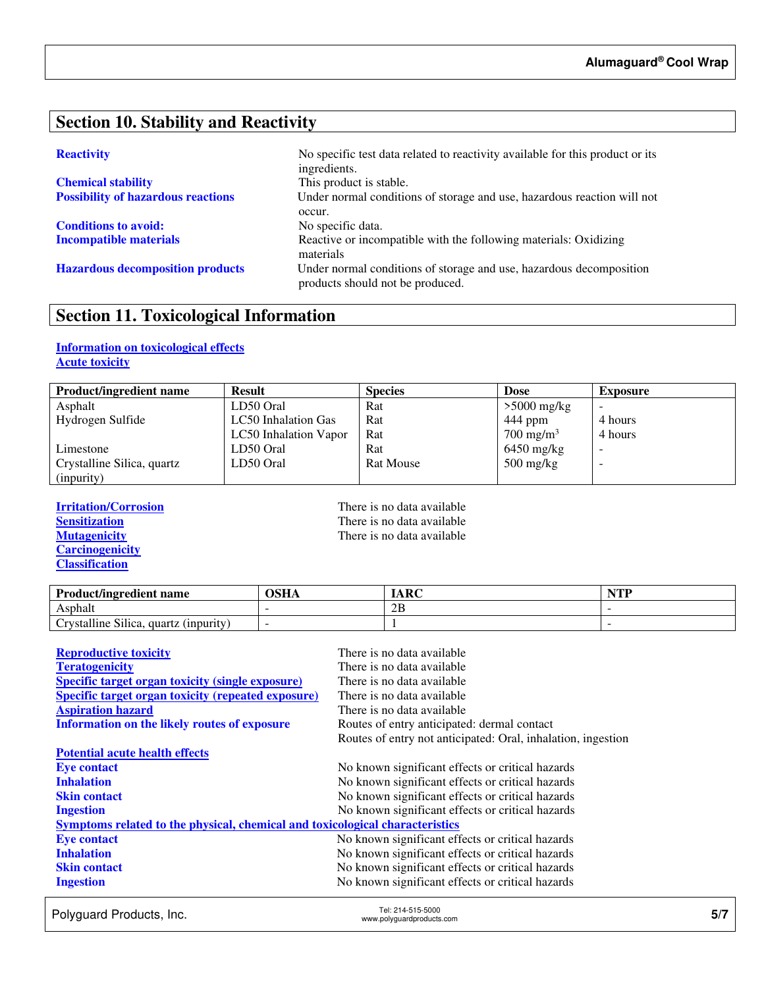#### **Section 10. Stability and Reactivity**

| <b>Chemical stability</b>                 |
|-------------------------------------------|
| <b>Possibility of hazardous reactions</b> |

**Conditions to avoid:** No specific data.

**Reactivity No specific test data related to reactivity available for this product or its** ingredients. This product is stable. Under normal conditions of storage and use, hazardous reaction will not occur. **Incompatible materials Reactive or incompatible with the following materials: Oxidizing** materials **Hazardous decomposition products** Under normal conditions of storage and use, hazardous decomposition products should not be produced.

## **Section 11. Toxicological Information**

#### **Information on toxicological effects Acute toxicity**

| <b>Product/ingredient name</b> | <b>Result</b>         | <b>Species</b>   | <b>Dose</b>                       | <b>Exposure</b> |
|--------------------------------|-----------------------|------------------|-----------------------------------|-----------------|
| Asphalt                        | LD50 Oral             | Rat              | $>5000$ mg/kg                     |                 |
| Hydrogen Sulfide               | LC50 Inhalation Gas   | Rat              | 444 ppm                           | 4 hours         |
|                                | LC50 Inhalation Vapor | Rat              | $700 \text{ mg/m}^3$              | 4 hours         |
| Limestone                      | LD50 Oral             | Rat              | $6450$ mg/kg                      |                 |
| Crystalline Silica, quartz     | LD50 Oral             | <b>Rat Mouse</b> | $500 \frac{\text{mg}}{\text{kg}}$ | -               |
| (inpurity)                     |                       |                  |                                   |                 |

**Carcinogenicity Classification** 

**Irritation/Corrosion**<br> **IFREP Sensitization**<br> **IFREP Sensitization**<br> **IFREP SENSITY SENSITY SENSITY SENSITY SENSITY SENSITY SENSITY SENSITY SENSITY SENSITY SENSITY SENSITY SENSITY SENSITY SENSITY SENSITY SENSITY SENSITY S Sensitization**<br> **Nutagenicity**<br> **There is no data available**<br> **There is no data available** There is no data available

| <b>Product/ingredient name</b>                           | OSHA | ARC | $\blacksquare$ |
|----------------------------------------------------------|------|-----|----------------|
| Asphalt                                                  |      | 2B  |                |
| $\sim$<br>11.<br>rvstalline Silica.<br>quartz (inpurity) |      |     |                |

| <b>Reproductive toxicity</b>                                                 | There is no data available                                   |
|------------------------------------------------------------------------------|--------------------------------------------------------------|
| <b>Teratogenicity</b>                                                        | There is no data available                                   |
| <b>Specific target organ toxicity (single exposure)</b>                      | There is no data available                                   |
| <b>Specific target organ toxicity (repeated exposure)</b>                    | There is no data available                                   |
| <b>Aspiration hazard</b>                                                     | There is no data available                                   |
| <b>Information on the likely routes of exposure</b>                          | Routes of entry anticipated: dermal contact                  |
|                                                                              | Routes of entry not anticipated: Oral, inhalation, ingestion |
| <b>Potential acute health effects</b>                                        |                                                              |
| <b>Eye contact</b>                                                           | No known significant effects or critical hazards             |
| <b>Inhalation</b>                                                            | No known significant effects or critical hazards             |
| <b>Skin contact</b>                                                          | No known significant effects or critical hazards             |
| <b>Ingestion</b>                                                             | No known significant effects or critical hazards             |
| Symptoms related to the physical, chemical and toxicological characteristics |                                                              |
| <b>Eye contact</b>                                                           | No known significant effects or critical hazards             |
| <b>Inhalation</b>                                                            | No known significant effects or critical hazards             |
| <b>Skin contact</b>                                                          | No known significant effects or critical hazards             |
| <b>Ingestion</b>                                                             | No known significant effects or critical hazards             |

Polyguard Products, Inc. Tel: 214-515-5000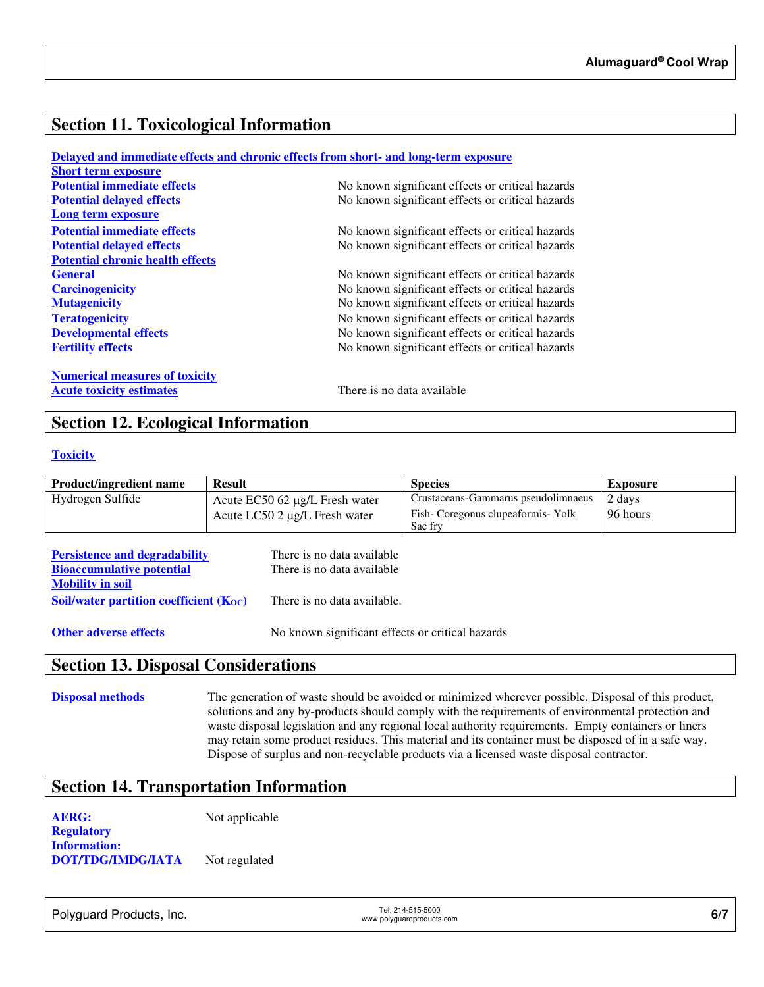#### **Section 11. Toxicological Information**

|                                         | Delayed and immediate effects and chronic effects from short- and long-term exposure |
|-----------------------------------------|--------------------------------------------------------------------------------------|
| <b>Short term exposure</b>              |                                                                                      |
| <b>Potential immediate effects</b>      | No known significant effects or critical hazards                                     |
| <b>Potential delayed effects</b>        | No known significant effects or critical hazards                                     |
| Long term exposure                      |                                                                                      |
| <b>Potential immediate effects</b>      | No known significant effects or critical hazards                                     |
| <b>Potential delayed effects</b>        | No known significant effects or critical hazards                                     |
| <b>Potential chronic health effects</b> |                                                                                      |
| <b>General</b>                          | No known significant effects or critical hazards                                     |
| <b>Carcinogenicity</b>                  | No known significant effects or critical hazards                                     |
| <b>Mutagenicity</b>                     | No known significant effects or critical hazards                                     |
| <b>Teratogenicity</b>                   | No known significant effects or critical hazards                                     |
| <b>Developmental effects</b>            | No known significant effects or critical hazards                                     |
| <b>Fertility effects</b>                | No known significant effects or critical hazards                                     |
| <b>Numerical measures of toxicity</b>   |                                                                                      |
| <b>Acute toxicity estimates</b>         | There is no data available                                                           |

#### **Section 12. Ecological Information**

#### **Toxicity**

| <b>Product/ingredient name</b> | <b>Result</b>                         | <b>Species</b>                      | Exposure |
|--------------------------------|---------------------------------------|-------------------------------------|----------|
| Hydrogen Sulfide               | Acute $EC50$ 62 $\mu$ g/L Fresh water | Crustaceans-Gammarus pseudolimnaeus | 2 days   |
|                                | Acute LC50 2 μg/L Fresh water         | Fish-Coregonus clupeaformis-Yolk    | 96 hours |
|                                |                                       | Sac fry                             |          |

| <b>Persistence and degradability</b>        | There is no data available  |
|---------------------------------------------|-----------------------------|
| <b>Bioaccumulative potential</b>            | There is no data available  |
| <b>Mobility in soil</b>                     |                             |
| Soil/water partition coefficient $(K_{OC})$ | There is no data available. |
|                                             |                             |

**Other adverse effects** No known significant effects or critical hazards

#### **Section 13. Disposal Considerations**

**Disposal methods** The generation of waste should be avoided or minimized wherever possible. Disposal of this product, solutions and any by-products should comply with the requirements of environmental protection and waste disposal legislation and any regional local authority requirements. Empty containers or liners may retain some product residues. This material and its container must be disposed of in a safe way. Dispose of surplus and non-recyclable products via a licensed waste disposal contractor.

#### **Section 14. Transportation Information**

**AERG:** Not applicable **Regulatory Information: DOT/TDG/IMDG/IATA** Not regulated

Polyguard Products, Inc. Tel: 214-515-5000

Tel: 214-515-5000<br>www.polyguardproducts.com **6/7**